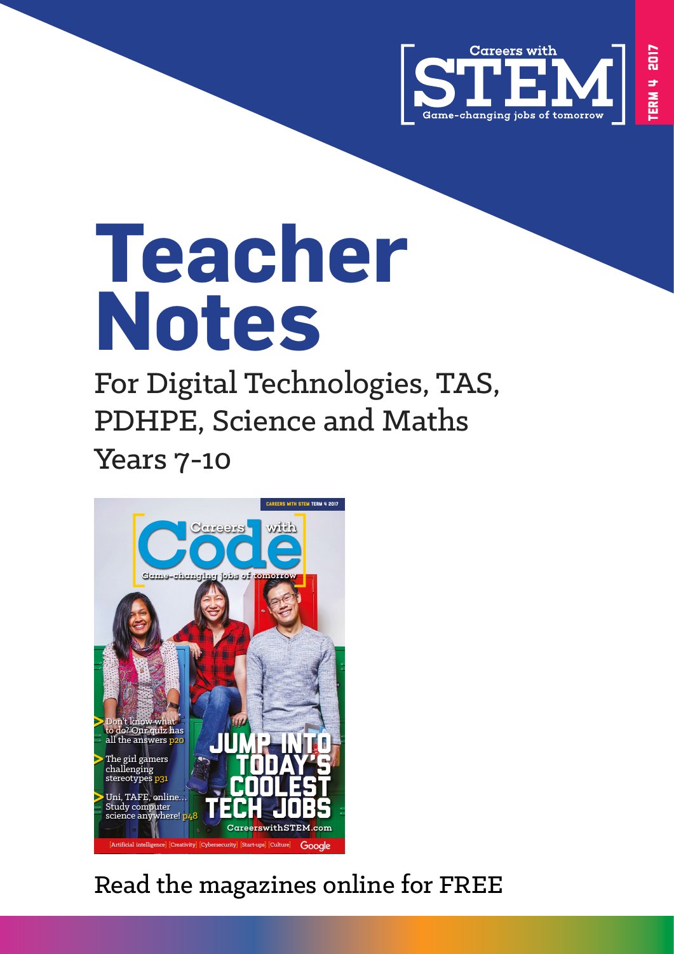

# **Teacher Notes**

For Digital Technologies, TAS, PDHPE, Science and Maths Years 7-10



# [Read the magazines online for FREE](https://careerswithstem.com/)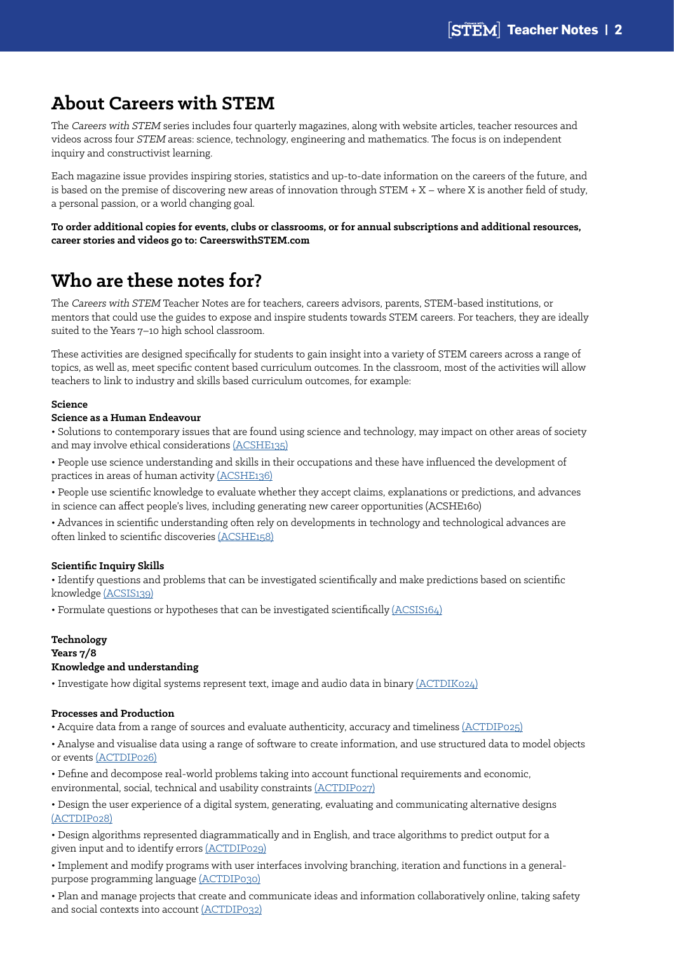## **About Careers with STEM**

The Careers with STEM series includes four quarterly magazines, along with website articles, teacher resources and videos across four STEM areas: science, technology, engineering and mathematics. The focus is on independent inquiry and constructivist learning.

Each magazine issue provides inspiring stories, statistics and up-to-date information on the careers of the future, and is based on the premise of discovering new areas of innovation through STEM + X – where X is another field of study, a personal passion, or a world changing goal.

**To order additional copies for events, clubs or classrooms, or for annual subscriptions and additional resources, career stories and videos go to: CareerswithSTEM.com**

# **Who are these notes for?**

The Careers with STEM Teacher Notes are for teachers, careers advisors, parents, STEM-based institutions, or mentors that could use the guides to expose and inspire students towards STEM careers. For teachers, they are ideally suited to the Years 7–10 high school classroom.

These activities are designed specifically for students to gain insight into a variety of STEM careers across a range of topics, as well as, meet specific content based curriculum outcomes. In the classroom, most of the activities will allow teachers to link to industry and skills based curriculum outcomes, for example:

#### **Science**

#### **Science as a Human Endeavour**

• Solutions to contemporary issues that are found using science and technology, may impact on other areas of society and may involve ethical considerations [\(ACSHE135\)](http://v7-5.australiancurriculum.edu.au/science/curriculum/f-10?layout=1#cdcode=ACSHE135&level=8)

• People use science understanding and skills in their occupations and these have influenced the development of practices in areas of human activity [\(ACSHE136\)](http://v7-5.australiancurriculum.edu.au/science/curriculum/f-10?layout=1#cdcode=ACSHE136&level=8)

• People use scientific knowledge to [evaluate](http://www.australiancurriculum.edu.au/glossary/popup?a=S&t=evaluate) whether they accept claims, explanations or predictions, and advances in science can affect people's lives, including generating new career opportunities [\(ACSHE160\)](http://www.australiancurriculum.edu.au/curriculum/contentdescription/ACSHE160)

• Advances in scientific understanding often rely on developments in technology and technological advances are often linked to scientific discoveries [\(ACSHE158\)](http://v7-5.australiancurriculum.edu.au/science/curriculum/f-10?layout=1#cdcode=ACSHE158&level=9)

#### **Scientific Inquiry Skills**

• Identify questions and problems that can be investigated scientifically and make predictions based on scientific knowledge [\(ACSIS139\)](http://v7-5.australiancurriculum.edu.au/curriculum/dummycontentdescription/ACSIS139)

• Formulate questions or hypotheses that can be investigated scientifically [\(ACSIS164\)](http://v7-5.australiancurriculum.edu.au/science/curriculum/f-10?layout=1#cdcode=ACSIS164&level=9)

#### **Technology Years 7/8 Knowledge and understanding**

• Investigate how digital systems represent text, image and audio data in binary [\(ACTDIK024\)](http://v7-5.australiancurriculum.edu.au/technologies/digital-technologies/curriculum/f-10?layout=1#cdcode=ACTDIK024&level=7-8)

#### **Processes and Production**

• Acquire data from a range of sources and evaluate authenticity, accuracy and timeliness [\(ACTDIP025\)](http://app.australiancurriculum.edu.au/Mobile/Curriculum/ContentDescription/03656f2c-bf45-49c0-bdad-1a65a0e0ca3d)

• Analyse and visualise data using a range of software to create information, and use structured data to model objects or events [\(ACTDIP026\)](http://v7-5.australiancurriculum.edu.au/technologies/digital-technologies/curriculum/f-10?layout=1#cdcode=ACTDIP026&level=7-8)

• Define and decompose real-world problems taking into account functional requirements and economic, environmental, social, technical and usability constraints [\(ACTDIP027\)](http://v7-5.australiancurriculum.edu.au/technologies/digital-technologies/curriculum/f-10?layout=1#cdcode=ACTDIP027&level=7-8)

• Design the user experience of a digital system, generating, evaluating and communicating alternative designs [\(ACTDIP028\)](http://v7-5.australiancurriculum.edu.au/technologies/digital-technologies/curriculum/f-10?layout=1#cdcode=ACTDIP028&level=7-8)

• Design algorithms represented diagrammatically and in English, and trace algorithms to predict output for a given input and to identify errors [\(ACTDIP029\)](http://v7-5.australiancurriculum.edu.au/curriculum/dummycontentdescription/ACTDIP029)

• Implement and modify programs with user interfaces involving branching, iteration and functions in a generalpurpose programming language [\(ACTDIP030\)](http://v7-5.australiancurriculum.edu.au/technologies/digital-technologies/curriculum/f-10?layout=1#cdcode=ACTDIP030&level=7-8)

• Plan and manage projects that create and communicate ideas and information collaboratively online, taking safety and social contexts into account [\(ACTDIP032\)](http://v7-5.australiancurriculum.edu.au/technologies/digital-technologies/curriculum/f-10?layout=1#cdcode=ACTDIP032&level=7-8)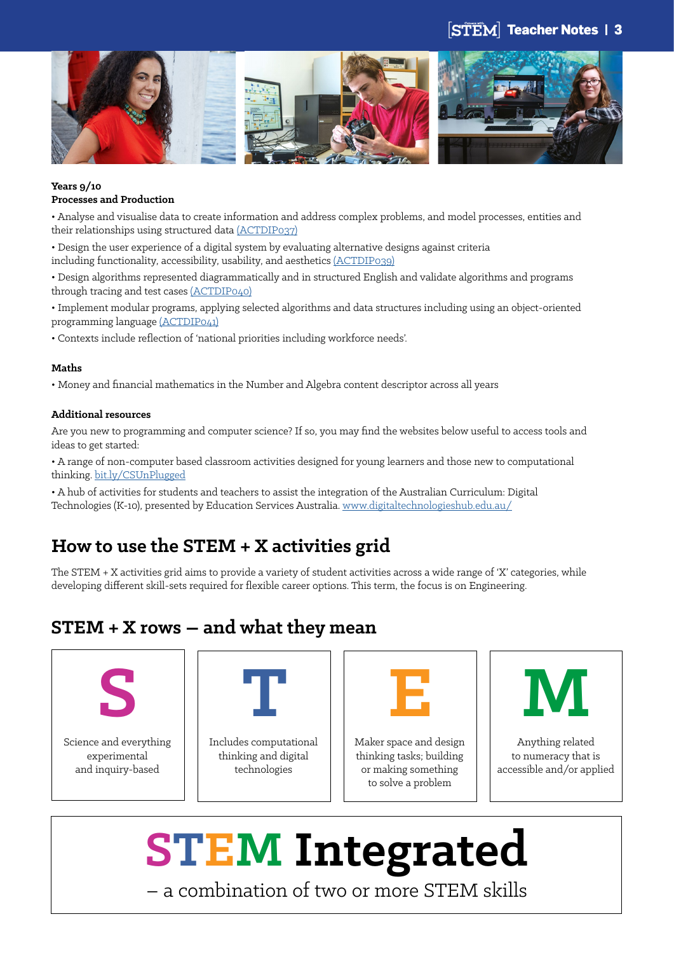### **STEM** Teacher Notes | 3



#### **Years 9/10 Processes and Production**

• Analyse and visualise data to create information and address complex problems, and model processes, entities and their relationships using structured data [\(ACTDIP037\)](http://v7-5.australiancurriculum.edu.au/technologies/digital-technologies/curriculum/f-10?layout=1#cdcode=ACTDIP037&level=9-10)

• Design the user experience of a digital system by evaluating alternative designs against criteria including functionality, accessibility, usability, and aesthetics [\(ACTDIP039\)](http://v7-5.australiancurriculum.edu.au/curriculum/dummycontentdescription/ACTDIP039)

• Design algorithms represented diagrammatically and in structured English and validate algorithms and programs through tracing and test cases [\(ACTDIP040\)](http://v7-5.australiancurriculum.edu.au/curriculum/dummycontentdescription/ACTDIP040)

• Implement modular programs, applying selected algorithms and data structures including using an object-oriented programming language [\(ACTDIP041\)](http://v7-5.australiancurriculum.edu.au/technologies/digital-technologies/curriculum/f-10?layout=1#cdcode=ACTDIP041&level=9-10)

• Contexts include reflection of 'national priorities including workforce needs'.

#### **Maths**

• Money and financial mathematics in the Number and Algebra content descriptor across all years

#### **Additional resources**

Are you new to programming and computer science? If so, you may find the websites below useful to access tools and ideas to get started:

• A range of non-computer based classroom activities designed for young learners and those new to computational thinking. [bit.ly/CSUnPlugged](http://csunplugged.org/network-protocols/#Curriculum_Links)

• A hub of activities for students and teachers to assist the integration of the Australian Curriculum: Digital Technologies (K-10), presented by Education Services Australia. [www.digitaltechnologieshub.edu.au/](http://www.digitaltechnologieshub.edu.au/)

# **How to use the STEM + X activities grid**

The STEM + X activities grid aims to provide a variety of student activities across a wide range of 'X' categories, while developing different skill-sets required for flexible career options. This term, the focus is on Engineering.

## **STEM + X rows – and what they mean**



Science and everything experimental and inquiry-based



Includes computational thinking and digital technologies

Maker space and design thinking tasks; building or making something to solve a problem



Anything related to numeracy that is accessible and/or applied

# **STEM Integrated** – a combination of two or more STEM skills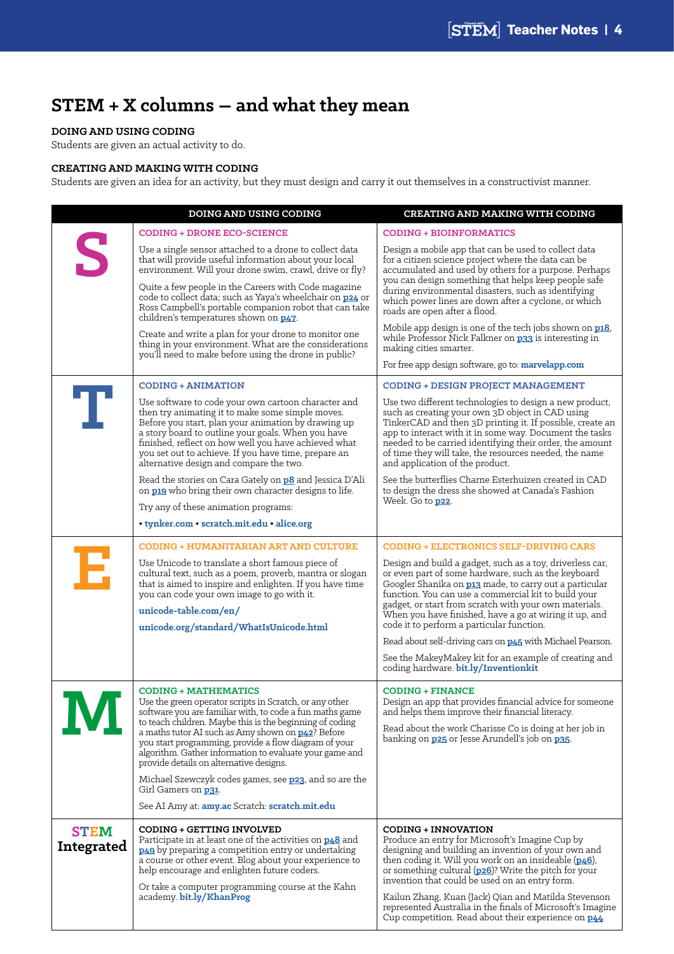# **STEM + X columns – and what they mean**

#### **DOING AND USING CODING**

Students are given an actual activity to do.

#### **CREATING AND MAKING WITH CODING**

Students are given an idea for an activity, but they must design and carry it out themselves in a constructivist manner.

|                           | <b>DOING AND USING CODING</b>                                                                                                                                                                                                                                                                                                                                                                                                                                                                       | <b>CREATING AND MAKING WITH CODING</b>                                                                                                                                                                                                                                                                                                                                                                                                                                                                                                                                          |
|---------------------------|-----------------------------------------------------------------------------------------------------------------------------------------------------------------------------------------------------------------------------------------------------------------------------------------------------------------------------------------------------------------------------------------------------------------------------------------------------------------------------------------------------|---------------------------------------------------------------------------------------------------------------------------------------------------------------------------------------------------------------------------------------------------------------------------------------------------------------------------------------------------------------------------------------------------------------------------------------------------------------------------------------------------------------------------------------------------------------------------------|
|                           | <b>CODING + DRONE ECO-SCIENCE</b>                                                                                                                                                                                                                                                                                                                                                                                                                                                                   | <b>CODING + BIOINFORMATICS</b>                                                                                                                                                                                                                                                                                                                                                                                                                                                                                                                                                  |
| S                         | Use a single sensor attached to a drone to collect data<br>that will provide useful information about your local<br>environment. Will your drone swim, crawl, drive or fly?<br>Quite a few people in the Careers with Code magazine<br>code to collect data; such as Yaya's wheelchair on p24 or<br>Ross Campbell's portable companion robot that can take<br>children's temperatures shown on <b>p47</b> .                                                                                         | Design a mobile app that can be used to collect data<br>for a citizen science project where the data can be<br>accumulated and used by others for a purpose. Perhaps<br>you can design something that helps keep people safe<br>during environmental disasters, such as identifying<br>which power lines are down after a cyclone, or which<br>roads are open after a flood.                                                                                                                                                                                                    |
|                           | Create and write a plan for your drone to monitor one<br>thing in your environment. What are the considerations<br>you'll need to make before using the drone in public?                                                                                                                                                                                                                                                                                                                            | Mobile app design is one of the tech jobs shown on p18,<br>while Professor Nick Falkner on <b>p33</b> is interesting in<br>making cities smarter.<br>For free app design software, go to: marvelapp.com                                                                                                                                                                                                                                                                                                                                                                         |
|                           |                                                                                                                                                                                                                                                                                                                                                                                                                                                                                                     |                                                                                                                                                                                                                                                                                                                                                                                                                                                                                                                                                                                 |
| т                         | <b>CODING + ANIMATION</b><br>Use software to code your own cartoon character and<br>then try animating it to make some simple moves.<br>Before you start, plan your animation by drawing up<br>a story board to outline your goals. When you have<br>finished, reflect on how well you have achieved what<br>you set out to achieve. If you have time, prepare an<br>alternative design and compare the two.                                                                                        | <b>CODING + DESIGN PROJECT MANAGEMENT</b><br>Use two different technologies to design a new product,<br>such as creating your own 3D object in CAD using<br>TinkerCAD and then 3D printing it. If possible, create an<br>app to interact with it in some way. Document the tasks<br>needed to be carried identifying their order, the amount<br>of time they will take, the resources needed, the name<br>and application of the product.                                                                                                                                       |
|                           | Read the stories on Cara Gately on <b>p8</b> and Jessica D'Ali<br>on p19 who bring their own character designs to life.<br>Try any of these animation programs:<br>• tynker.com • scratch.mit.edu • alice.org                                                                                                                                                                                                                                                                                       | See the butterflies Charne Esterhuizen created in CAD<br>to design the dress she showed at Canada's Fashion<br>Week. Go to <b>p22</b> .                                                                                                                                                                                                                                                                                                                                                                                                                                         |
|                           | <b>CODING + HUMANITARIAN ART AND CULTURE</b>                                                                                                                                                                                                                                                                                                                                                                                                                                                        | <b>CODING + ELECTRONICS SELF-DRIVING CARS</b>                                                                                                                                                                                                                                                                                                                                                                                                                                                                                                                                   |
| Е                         | Use Unicode to translate a short famous piece of<br>cultural text, such as a poem, proverb, mantra or slogan<br>that is aimed to inspire and enlighten. If you have time<br>you can code your own image to go with it.<br>unicode-table.com/en/<br>unicode.org/standard/WhatIsUnicode.html                                                                                                                                                                                                          | Design and build a gadget, such as a toy, driverless car,<br>or even part of some hardware, such as the keyboard<br>Googler Shanika on <b>p13</b> made, to carry out a particular<br>function. You can use a commercial kit to build your<br>gadget, or start from scratch with your own materials.<br>When you have finished, have a go at wiring it up, and<br>code it to perform a particular function.<br>Read about self-driving cars on <b>p45</b> with Michael Pearson.<br>See the MakeyMakey kit for an example of creating and<br>coding hardware. bit.ly/Inventionkit |
|                           | <b>CODING + MATHEMATICS</b><br>Use the green operator scripts in Scratch, or any other<br>software you are familiar with, to code a fun maths game<br>to teach children. Maybe this is the beginning of coding<br>a maths tutor AI such as Amy shown on <b>p42</b> ? Before<br>you start programming, provide a flow diagram of your<br>algorithm. Gather information to evaluate your game and<br>provide details on alternative designs.<br>Michael Szewczyk codes games, see p23, and so are the | <b>CODING + FINANCE</b><br>Design an app that provides financial advice for someone<br>and helps them improve their financial literacy.<br>Read about the work Charisse Co is doing at her job in<br>banking on <b>p25</b> or Jesse Arundell's job on <b>p35</b> .                                                                                                                                                                                                                                                                                                              |
|                           | Girl Gamers on <b>p31</b> .                                                                                                                                                                                                                                                                                                                                                                                                                                                                         |                                                                                                                                                                                                                                                                                                                                                                                                                                                                                                                                                                                 |
|                           | See AI Amy at: amy.ac Scratch: scratch.mit.edu                                                                                                                                                                                                                                                                                                                                                                                                                                                      |                                                                                                                                                                                                                                                                                                                                                                                                                                                                                                                                                                                 |
| <b>STEM</b><br>Integrated | <b>CODING + GETTING INVOLVED</b><br>Participate in at least one of the activities on <b>p48</b> and<br><b>p49</b> by preparing a competition entry or undertaking<br>a course or other event. Blog about your experience to<br>help encourage and enlighten future coders.<br>Or take a computer programming course at the Kahn<br>academy. bit.ly/KhanProg                                                                                                                                         | <b>CODING + INNOVATION</b><br>Produce an entry for Microsoft's Imagine Cup by<br>designing and building an invention of your own and<br>then coding it. Will you work on an insideable $(p_46)$ ,<br>or something cultural (p26)? Write the pitch for your<br>invention that could be used on an entry form.<br>Kailun Zhang, Kuan (Jack) Qian and Matilda Stevenson<br>represented Australia in the finals of Microsoft's Imagine<br>Cup competition. Read about their experience on <b>p44</b> .                                                                              |